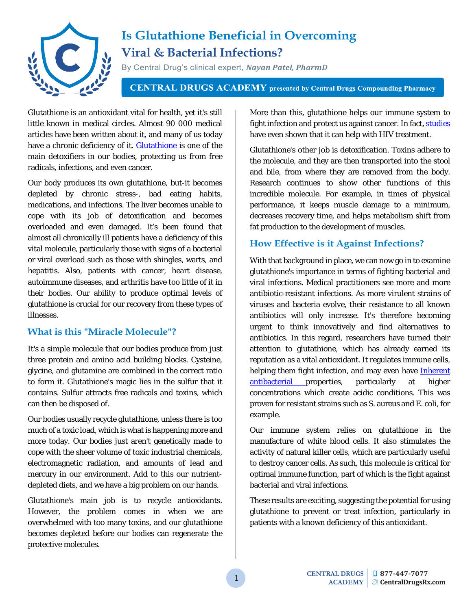

# **Is Glutathione Beneficial in Overcoming Viral & Bacterial Infections?**

By Central Drug's clinical expert, *Nayan Patel, PharmD*

**CENTRAL DRUGS ACADEMY** presented by Central Drugs Compounding Pharmacy

Glutathione is an antioxidant vital for health, yet it's still little known in medical circles. Almost 90 000 medical articles have been written about it, and many of us today have a chronic deficiency of it. **Glutathione** is one of the main detoxifiers in our bodies, protecting us from free radicals, infections, and even cancer.

Our body produces its own glutathione, but-it becomes depleted by chronic stress-, bad eating habits, medications, and infections. The liver becomes unable to cope with its job of detoxification and becomes overloaded and even damaged. It's been found that almost all chronically ill patients have a deficiency of this vital molecule, particularly those with signs of a bacterial or viral overload such as those with shingles, warts, and hepatitis. Also, patients with cancer, heart disease, autoimmune diseases, and arthritis have too little of it in their bodies. Our ability to produce optimal levels of glutathione is crucial for our recovery from these types of illnesses.

### **What is this "Miracle Molecule"?**

It's a simple molecule that our bodies produce from just three protein and amino acid building blocks. Cysteine, glycine, and glutamine are combined in the correct ratio to form it. Glutathione's magic lies in the sulfur that it contains. Sulfur attracts free radicals and toxins, which can then be disposed of.

Our bodies usually recycle glutathione, unless there is too much of a toxic load, which is what is happening more and more today. Our bodies just aren't genetically made to cope with the sheer volume of toxic industrial chemicals, electromagnetic radiation, and amounts of lead and mercury in our environment. Add to this our nutrientdepleted diets, and we have a big problem on our hands.

Glutathione's main job is to recycle antioxidants. However, the problem comes in when we are overwhelmed with too many toxins, and our glutathione becomes depleted before our bodies can regenerate the protective molecules.

More than this, glutathione helps our immune system to fight infection and protect us against cancer. In fact, studies have even shown that it can help with HIV treatment.

Glutathione's other job is detoxification. Toxins adhere to the molecule, and they are then transported into the stool and bile, from where they are removed from the body. Research continues to show other functions of this incredible molecule. For example, in times of physical performance, it keeps muscle damage to a minimum, decreases recovery time, and helps metabolism shift from fat production to the development of muscles.

## **How Effective is it Against Infections?**

With that background in place, we can now go in to examine glutathione's importance in terms of fighting bacterial and viral infections. Medical practitioners see more and more antibiotic-resistant infections. As more virulent strains of viruses and bacteria evolve, their resistance to all known antibiotics will only increase. It's therefore becoming urgent to think innovatively and find alternatives to antibiotics. In this regard, researchers have turned their attention to glutathione, which has already earned its reputation as a vital antioxidant. It regulates immune cells, helping them fight infection, and may even have **Inherent** [antibacterial p](https://www.ncbi.nlm.nih.gov/pubmed/24196336)roperties, particularly at higher concentrations which create acidic conditions. This was proven for resistant strains such as S. aureus and E. coli, for example.

Our immune system relies on glutathione in the manufacture of white blood cells. It also stimulates the activity of natural killer cells, which are particularly useful to destroy cancer cells. As such, this molecule is critical for optimal immune function, part of which is the fight against bacterial and viral infections.

These results are exciting, suggesting the potential for using glutathione to prevent or treat infection, particularly in patients with a known deficiency of this antioxidant.